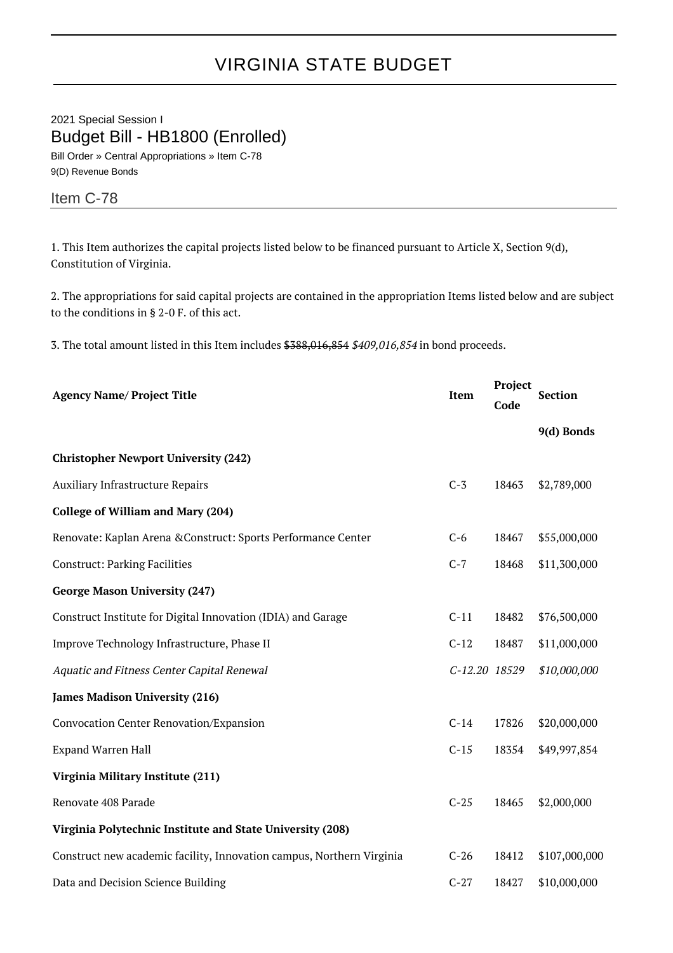## VIRGINIA STATE BUDGET

2021 Special Session I Budget Bill - HB1800 (Enrolled) Bill Order » Central Appropriations » Item C-78

9(D) Revenue Bonds

## Item C-78

1. This Item authorizes the capital projects listed below to be financed pursuant to Article X, Section 9(d), Constitution of Virginia.

2. The appropriations for said capital projects are contained in the appropriation Items listed below and are subject to the conditions in § 2-0 F. of this act.

3. The total amount listed in this Item includes \$388,016,854 \$409,016,854 in bond proceeds.

| <b>Agency Name/ Project Title</b>                                     | <b>Item</b>   | Project<br>Code | <b>Section</b> |
|-----------------------------------------------------------------------|---------------|-----------------|----------------|
|                                                                       |               |                 | 9(d) Bonds     |
| <b>Christopher Newport University (242)</b>                           |               |                 |                |
| <b>Auxiliary Infrastructure Repairs</b>                               | $C-3$         | 18463           | \$2,789,000    |
| <b>College of William and Mary (204)</b>                              |               |                 |                |
| Renovate: Kaplan Arena & Construct: Sports Performance Center         | $C-6$         | 18467           | \$55,000,000   |
| <b>Construct: Parking Facilities</b>                                  | $C-7$         | 18468           | \$11,300,000   |
| <b>George Mason University (247)</b>                                  |               |                 |                |
| Construct Institute for Digital Innovation (IDIA) and Garage          | $C-11$        | 18482           | \$76,500,000   |
| Improve Technology Infrastructure, Phase II                           | $C-12$        | 18487           | \$11,000,000   |
| Aquatic and Fitness Center Capital Renewal                            | C-12.20 18529 |                 | \$10,000,000   |
| <b>James Madison University (216)</b>                                 |               |                 |                |
| Convocation Center Renovation/Expansion                               | $C-14$        | 17826           | \$20,000,000   |
| <b>Expand Warren Hall</b>                                             | $C-15$        | 18354           | \$49,997,854   |
| Virginia Military Institute (211)                                     |               |                 |                |
| Renovate 408 Parade                                                   | $C-25$        | 18465           | \$2,000,000    |
| Virginia Polytechnic Institute and State University (208)             |               |                 |                |
| Construct new academic facility, Innovation campus, Northern Virginia | $C-26$        | 18412           | \$107,000,000  |
| Data and Decision Science Building                                    | $C-27$        | 18427           | \$10,000,000   |